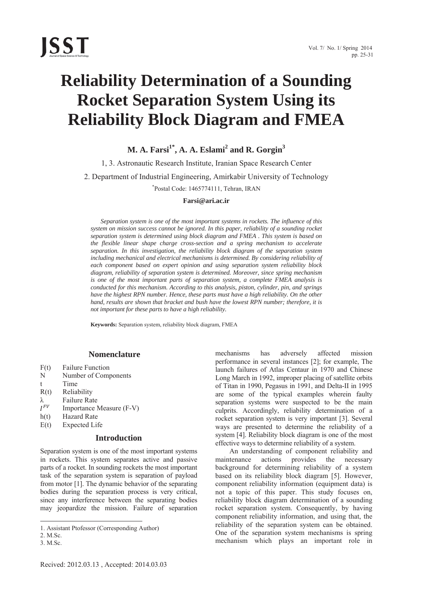# **Reliability Determination of a Sounding Rocket Separation System Using its Reliability Block Diagram and FMEA**

 $\mathbf{M}.$  A. Farsi $^{1^*}\!,$  A. A. Eslami $^2$  and  $\mathbf{R}.$  Gorgin $^3$ 

1, 3. Astronautic Research Institute, Iranian Space Research Center 2. Department of Industrial Engineering, Amirkabir University of Technology \* Postal Code: 1465774111, Tehran, IRAN

#### **Farsi@ari.ac.ir**

*Separation system is one of the most important systems in rockets. The influence of this system on mission success cannot be ignored. In this paper, reliability of a sounding rocket separation system is determined using block diagram and FMEA . This system is based on the flexible linear shape charge cross-section and a spring mechanism to accelerate separation. In this investigation, the reliability block diagram of the separation system including mechanical and electrical mechanisms is determined. By considering reliability of each component based on expert opinion and using separation system reliability block diagram, reliability of separation system is determined. Moreover, since spring mechanism is one of the most important parts of separation system, a complete FMEA analysis is conducted for this mechanism. According to this analysis, piston, cylinder, pin, and springs have the highest RPN number. Hence, these parts must have a high reliability. On the other hand, results are shown that bracket and bush have the lowest RPN number; therefore, it is not important for these parts to have a high reliability.* 

**Keywords:** Separation system, reliability block diagram, FMEA

### **Nomenclature**

- F(t) Failure Function
- N Number of Components
- t Time
- R(t) Reliability
- $\lambda$  Failure Rate<br>  $I^{FV}$  Importance N
- Importance Measure (F-V)
- h(t) Hazard Rate
- E(t) Expected Life

## **Introduction**

Separation system is one of the most important systems in rockets. This system separates active and passive parts of a rocket. In sounding rockets the most important task of the separation system is separation of payload from motor [1]. The dynamic behavior of the separating bodies during the separation process is very critical, since any interference between the separating bodies may jeopardize the mission. Failure of separation

 $\overline{\phantom{a}}$ 

mechanisms has adversely affected mission performance in several instances [2]; for example, The launch failures of Atlas Centaur in 1970 and Chinese Long March in 1992, improper placing of satellite orbits of Titan in 1990, Pegasus in 1991, and Delta-II in 1995 are some of the typical examples wherein faulty separation systems were suspected to be the main culprits. Accordingly, reliability determination of a rocket separation system is very important [3]. Several ways are presented to determine the reliability of a system [4]. Reliability block diagram is one of the most effective ways to determine reliability of a system.

An understanding of component reliability and maintenance actions provides the necessary background for determining reliability of a system based on its reliability block diagram [5]. However, component reliability information (equipment data) is not a topic of this paper. This study focuses on, reliability block diagram determination of a sounding rocket separation system. Consequently, by having component reliability information, and using that, the reliability of the separation system can be obtained. One of the separation system mechanisms is spring mechanism which plays an important role in

<sup>1.</sup> Assistant Ptofessor (Corresponding Author)

<sup>2.</sup> M.Sc.

<sup>3.</sup> M.Sc.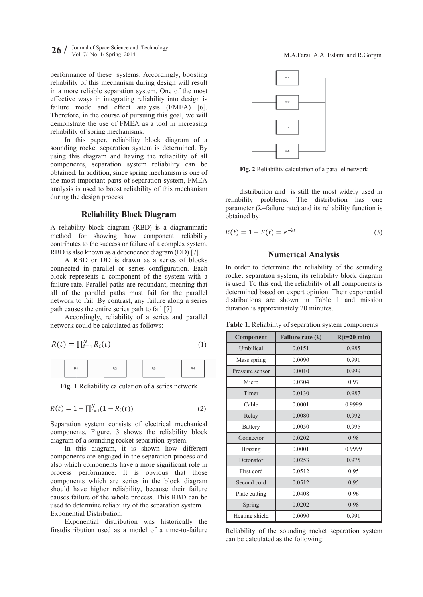$26 /$  Journal of Space Science and Technology Vol. 7/ No. 1/ Spring 2014

performance of these systems. Accordingly, boosting reliability of this mechanism during design will result in a more reliable separation system. One of the most effective ways in integrating reliability into design is failure mode and effect analysis (FMEA) [6]. Therefore, in the course of pursuing this goal, we will demonstrate the use of FMEA as a tool in increasing reliability of spring mechanisms.

In this paper, reliability block diagram of a sounding rocket separation system is determined. By using this diagram and having the reliability of all components, separation system reliability can be obtained. In addition, since spring mechanism is one of the most important parts of separation system, FMEA analysis is used to boost reliability of this mechanism during the design process.

## **Reliability Block Diagram**

A reliability block diagram (RBD) is a diagrammatic method for showing how component reliability contributes to the success or failure of a complex system. RBD is also known as a dependence diagram (DD) [7].

A RBD or DD is drawn as a series of blocks connected in parallel or series configuration. Each block represents a component of the system with a failure rate. Parallel paths are redundant, meaning that all of the parallel paths must fail for the parallel network to fail. By contrast, any failure along a series path causes the entire series path to fail [7].

Accordingly, reliability of a series and parallel network could be calculated as follows:

$$
R(t) = \prod_{i=1}^{N} R_i(t) \tag{1}
$$



Fig. 1 Reliability calculation of a series network

$$
R(t) = 1 - \prod_{i=1}^{N} (1 - R_i(t))
$$
 (2)

Separation system consists of electrical mechanical components. Figure, 3 shows the reliability block diagram of a sounding rocket separation system.

In this diagram, it is shown how different components are engaged in the separation process and also which components have a more significant role in process performance. It is obvious that those components which are series in the block diagram should have higher reliability, because their failure causes failure of the whole process. This RBD can be used to determine reliability of the separation system. **Exponential Distribution:** 

Exponential distribution was historically the first distribution used as a model of a time-to-failure



Fig. 2 Reliability calculation of a parallel network

distribution and is still the most widely used in reliability problems. The distribution has one parameter ( $\lambda$ =failure rate) and its reliability function is obtained by:

$$
R(t) = 1 - F(t) = e^{-\lambda t}
$$
 (3)

#### **Numerical Analysis**

In order to determine the reliability of the sounding rocket separation system, its reliability block diagram is used. To this end, the reliability of all components is determined based on expert opinion. Their exponential distributions are shown in Table 1 and mission duration is approximately 20 minutes.

Table 1. Reliability of separation system components

| Component       | Failure rate $(\lambda)$ | $R(t=20 \text{ min})$ |  |  |  |
|-----------------|--------------------------|-----------------------|--|--|--|
| Umbilical       | 0.0151                   | 0.985                 |  |  |  |
| Mass spring     | 0.0090                   | 0.991                 |  |  |  |
| Pressure sensor | 0.0010                   | 0.999                 |  |  |  |
| Micro           | 0.0304                   | 0.97                  |  |  |  |
| Timer           | 0.0130                   | 0.987                 |  |  |  |
| Cable           | 0.0001                   | 0.9999                |  |  |  |
| Relay           | 0.0080                   | 0.992                 |  |  |  |
| <b>Battery</b>  | 0.0050                   | 0.995                 |  |  |  |
| Connector       | 0.0202                   | 0.98                  |  |  |  |
| <b>Brazing</b>  | 0.0001                   | 0.9999                |  |  |  |
| Detonator       | 0.0253                   | 0.975                 |  |  |  |
| First cord      | 0.0512                   | 0.95                  |  |  |  |
| Second cord     | 0.0512                   | 0.95                  |  |  |  |
| Plate cutting   | 0.0408                   | 0.96                  |  |  |  |
| Spring          | 0.0202                   | 0.98                  |  |  |  |
| Heating shield  | 0.0090                   | 0.991                 |  |  |  |

Reliability of the sounding rocket separation system can be calculated as the following: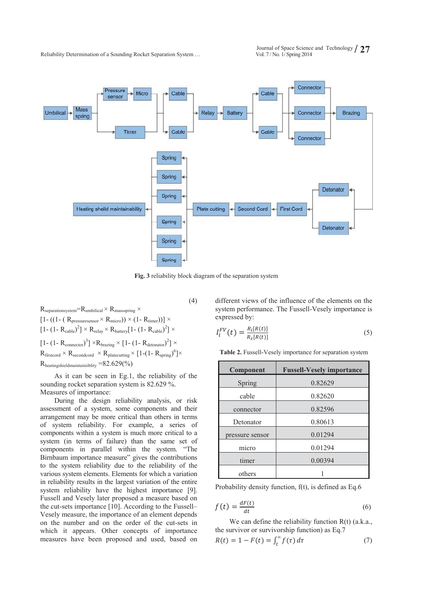Vol. 7 / No. 1/ Spring 2014 **/ 27** Reliability Determination of a Sounding Rocket Separation System …



**Fig. 3** reliability block diagram of the separation system

 $(4)$ 

 $R_{separationsystem}=R_{umbilical} \times R_{massspring} \times$  $[1- ((1- (R<sub>presuresensor</sub> × R<sub>micro</sub>)) × (1-R<sub>timer</sub>))] ×$  $[1 - (1 - R_{\text{cable}})^2] \times R_{\text{relay}} \times R_{\text{battery}}[1 - (1 - R_{\text{cable}})^2] \times$  $[1 - (1 - R_{connector})^3] \times R_{\text{brazing}} \times [1 - (1 - R_{detonator})^2] \times$  $R_{\text{firstcord}} \times R_{\text{secondcord}} \times R_{\text{plateutting}} \times [1-(1-R_{\text{spring}})^6] \times$ Rheatingshieldmaintainiiblity =82.629(%)

As it can be seen in Eg.1, the reliability of the sounding rocket separation system is 82.629 %. Measures of importance:

During the design reliability analysis, or risk assessment of a system, some components and their arrangement may be more critical than others in terms of system reliability. For example, a series of components within a system is much more critical to a system (in terms of failure) than the same set of components in parallel within the system. "The Birnbaum importance measure" gives the contributions to the system reliability due to the reliability of the various system elements. Elements for which a variation in reliability results in the largest variation of the entire system reliability have the highest importance [9]. Fussell and Vesely later proposed a measure based on the cut-sets importance [10]. According to the Fussell– Vesely measure, the importance of an element depends on the number and on the order of the cut-sets in which it appears. Other concepts of importance measures have been proposed and used, based on

different views of the influence of the elements on the system performance. The Fussell-Vesely importance is expressed by:

$$
I_i^{FV}(t) = \frac{R_i[R(t)]}{R_s[R(t)]}
$$
\n(5)

**Table 2.** Fussell-Vesely importance for separation system

| Component       | <b>Fussell-Vesely importance</b> |
|-----------------|----------------------------------|
| Spring          | 0.82629                          |
| cable           | 0.82620                          |
| connector       | 0.82596                          |
| Detonator       | 0.80613                          |
| pressure sensor | 0.01294                          |
| micro           | 0.01294                          |
| timer           | 0.00394                          |
| others          |                                  |

Probability density function, f(t), is defined as Eq.6

$$
f(t) = \frac{dF(t)}{dt} \tag{6}
$$

We can define the reliability function R(t) (a.k.a., the survivor or survivorship function) as Eq.7

$$
R(t) = 1 - F(t) = \int_t^{\infty} f(\tau) d\tau \tag{7}
$$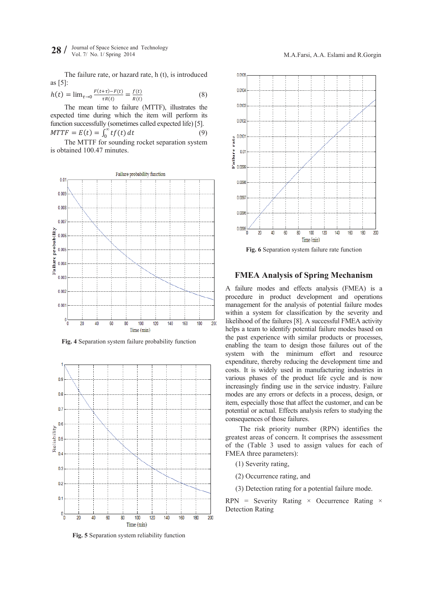The failure rate, or hazard rate, h (t), is introduced as [5]:

$$
h(t) = \lim_{\tau \to 0} \frac{F(t+\tau) - F(t)}{\tau R(t)} = \frac{f(t)}{R(t)}
$$
(8)

The mean time to failure (MTTF), illustrates the expected time during which the item will perform its function successfully (sometimes called expected life) [5].  $MTTF = E(t) = \int_0^\infty t f(t)$  $dt$  (9)

The MTTF for sounding rocket separation system is obtained 100.47 minutes.



**Fig. 4** Separation system failure probability function



**Fig. 5** Separation system reliability function



**Fig. 6** Separation system failure rate function

# **FMEA Analysis of Spring Mechanism**

A failure modes and effects analysis (FMEA) is a procedure in product development and operations management for the analysis of potential failure modes within a system for classification by the severity and likelihood of the failures [8]. A successful FMEA activity helps a team to identify potential failure modes based on the past experience with similar products or processes, enabling the team to design those failures out of the system with the minimum effort and resource expenditure, thereby reducing the development time and costs. It is widely used in manufacturing industries in various phases of the product life cycle and is now increasingly finding use in the service industry. Failure modes are any errors or defects in a process, design, or item, especially those that affect the customer, and can be potential or actual. Effects analysis refers to studying the consequences of those failures.

The risk priority number (RPN) identifies the greatest areas of concern. It comprises the assessment of the (Table 3 used to assign values for each of FMEA three parameters):

(1) Severity rating,

(2) Occurrence rating, and

(3) Detection rating for a potential failure mode.

 $RPN =$  Severity Rating  $\times$  Occurrence Rating  $\times$ Detection Rating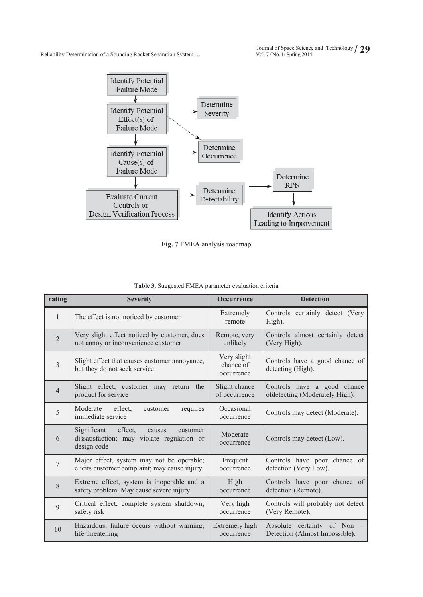

**Fig. 7** FMEA analysis roadmap

| rating         | <b>Severity</b>                                                                                           | <b>Occurrence</b>                      | <b>Detection</b>                                    |  |  |  |
|----------------|-----------------------------------------------------------------------------------------------------------|----------------------------------------|-----------------------------------------------------|--|--|--|
| $\mathbf{1}$   | The effect is not noticed by customer                                                                     | Extremely<br>remote                    | Controls certainly detect (Very<br>High).           |  |  |  |
| $\overline{2}$ | Very slight effect noticed by customer, does                                                              | Remote, very                           | Controls almost certainly detect                    |  |  |  |
|                | not annoy or inconvenience customer                                                                       | unlikely                               | (Very High).                                        |  |  |  |
| $\overline{3}$ | Slight effect that causes customer annoyance,<br>but they do not seek service                             | Very slight<br>chance of<br>occurrence | Controls have a good chance of<br>detecting (High). |  |  |  |
| $\overline{4}$ | Slight effect, customer may return the                                                                    | Slight chance                          | Controls have a good chance                         |  |  |  |
|                | product for service                                                                                       | of occurrence                          | ofdetecting (Moderately High).                      |  |  |  |
| 5              | Moderate<br>effect,<br>requires<br>customer<br>immediate service                                          | Occasional<br>occurrence               | Controls may detect (Moderate).                     |  |  |  |
| 6              | Significant<br>effect,<br>customer<br>causes<br>dissatisfaction; may violate regulation or<br>design code | Moderate<br>occurrence                 | Controls may detect (Low).                          |  |  |  |
| $\overline{7}$ | Major effect, system may not be operable;                                                                 | Frequent                               | Controls have poor chance of                        |  |  |  |
|                | elicits customer complaint; may cause injury                                                              | occurrence                             | detection (Very Low).                               |  |  |  |
| 8              | Extreme effect, system is inoperable and a                                                                | High                                   | Controls have poor chance of                        |  |  |  |
|                | safety problem. May cause severe injury.                                                                  | occurrence                             | detection (Remote).                                 |  |  |  |
| 9              | Critical effect, complete system shutdown;                                                                | Very high                              | Controls will probably not detect                   |  |  |  |
|                | safety risk                                                                                               | occurrence                             | (Very Remote).                                      |  |  |  |
| 10             | Hazardous; failure occurs without warning;                                                                | Extremely high                         | Absolute certainty of Non                           |  |  |  |
|                | life threatening                                                                                          | occurrence                             | Detection (Almost Impossible).                      |  |  |  |

| Table 3. Suggested FMEA parameter evaluation criteria |  |  |  |  |
|-------------------------------------------------------|--|--|--|--|
|-------------------------------------------------------|--|--|--|--|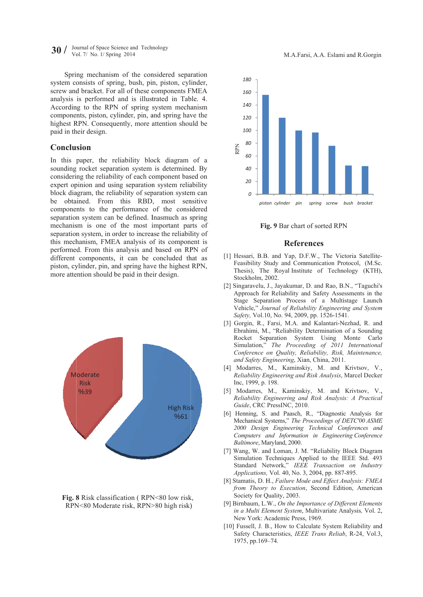30 / Journal of Space Science and Technology Vol. 7/ No. 1/ Spring 2014

Spring mechanism of the considered separation system consists of spring, bush, pin, piston, cylinder, screw and bracket. For all of these components FMEA analysis is performed and is illustrated in Table. 4. According to the RPN of spring system mechanism components, piston, cylinder, pin, and spring have the highest RPN. Consequently, more attention should be paid in their design.

#### **Conclusion**

In this paper, the reliability block diagram of a sounding rocket separation system is determined. By considering the reliability of each component based on expert opinion and using separation system reliability block diagram, the reliability of separation system can be obtained. From this RBD, most sensitive components to the performance of the considered separation system can be defined. Inasmuch as spring mechanism is one of the most important parts of separation system, in order to increase the reliability of this mechanism, FMEA analysis of its component is performed. From this analysis and based on RPN of different components, it can be concluded that as piston, cylinder, pin, and spring have the highest RPN, more attention should be paid in their design.



Fig. 8 Risk classification (RPN<80 low risk. RPN<80 Moderate risk, RPN>80 high risk)



Fig. 9 Bar chart of sorted RPN

#### **References**

- [1] Hessari, B.B. and Yap, D.F.W., The Victoria Satellite-Feasibility Study and Communication Protocol, (M.Sc. Thesis), The Royal Institute of Technology (KTH), Stockholm, 2002.
- [2] Singaravelu, J., Jayakumar, D. and Rao, B.N., "Taguchi's Approach for Reliability and Safety Assessments in the Stage Separation Process of a Multistage Launch Vehicle," Journal of Reliability Engineering and System Safety, Vol.10, No. 94, 2009, pp. 1526-1541.
- [3] Gorgin, R., Farsi, M.A. and Kalantari-Nezhad, R. and Ebrahimi, M., "Reliability Determination of a Sounding Rocket Separation System Using Monte Carlo Simulation," The Proceeding of 2011 International Conference on Quality, Reliability, Risk, Maintenance, and Safety Engineering, Xian, China, 2011.
- [4] Modarres, M., Kaminskiy, M. and Krivtsov, V., Reliability Engineering and Risk Analysis, Marcel Decker Inc, 1999, p. 198.
- [5] Modarres, M., Kaminskiy, M. and Krivtsov, V., Reliability Engineering and Risk Analysis: A Practical Guide, CRC PressINC, 2010.
- [6] Henning, S. and Paasch, R., "Diagnostic Analysis for Mechanical Systems," The Proceedings of DETC'00 ASME 2000 Design Engineering Technical Conferences and Computers and Information in Engineering Conference Baltimore, Maryland, 2000.
- [7] Wang, W. and Loman, J. M. "Reliability Block Diagram Simulation Techniques Applied to the IEEE Std. 493 Standard Network," IEEE Transaction on Industry Applications, Vol. 40, No. 3, 2004, pp. 887-895.
- [8] Stamatis, D. H., Failure Mode and Effect Analysis: FMEA from Theory to Execution, Second Edition, American Society for Quality, 2003.
- [9] Birnbaum, L.W., On the Importance of Different Elements in a Multi Element System, Multivariate Analysis, Vol. 2, New York: Academic Press, 1969.
- [10] Fussell, J. B., How to Calculate System Reliability and Safety Characteristics, IEEE Trans Reliab, R-24, Vol.3, 1975, pp.169-74.